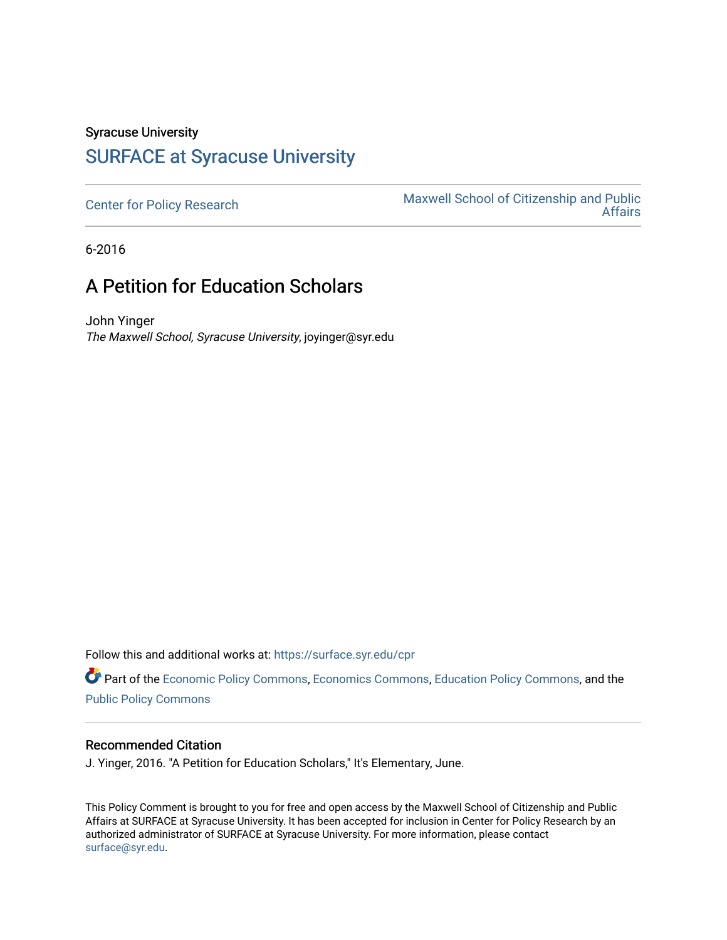# Syracuse University

### [SURFACE at Syracuse University](https://surface.syr.edu/)

[Center for Policy Research](https://surface.syr.edu/cpr) Maxwell School of Citizenship and Public<br>Affairs [Affairs](https://surface.syr.edu/maxwell) 

6-2016

## A Petition for Education Scholars

John Yinger The Maxwell School, Syracuse University, joyinger@syr.edu

Follow this and additional works at: [https://surface.syr.edu/cpr](https://surface.syr.edu/cpr?utm_source=surface.syr.edu%2Fcpr%2F323&utm_medium=PDF&utm_campaign=PDFCoverPages) 

Part of the [Economic Policy Commons](http://network.bepress.com/hgg/discipline/1025?utm_source=surface.syr.edu%2Fcpr%2F323&utm_medium=PDF&utm_campaign=PDFCoverPages), [Economics Commons,](http://network.bepress.com/hgg/discipline/340?utm_source=surface.syr.edu%2Fcpr%2F323&utm_medium=PDF&utm_campaign=PDFCoverPages) [Education Policy Commons](http://network.bepress.com/hgg/discipline/1026?utm_source=surface.syr.edu%2Fcpr%2F323&utm_medium=PDF&utm_campaign=PDFCoverPages), and the [Public Policy Commons](http://network.bepress.com/hgg/discipline/400?utm_source=surface.syr.edu%2Fcpr%2F323&utm_medium=PDF&utm_campaign=PDFCoverPages)

#### Recommended Citation

J. Yinger, 2016. "A Petition for Education Scholars," It's Elementary, June.

This Policy Comment is brought to you for free and open access by the Maxwell School of Citizenship and Public Affairs at SURFACE at Syracuse University. It has been accepted for inclusion in Center for Policy Research by an authorized administrator of SURFACE at Syracuse University. For more information, please contact [surface@syr.edu.](mailto:surface@syr.edu)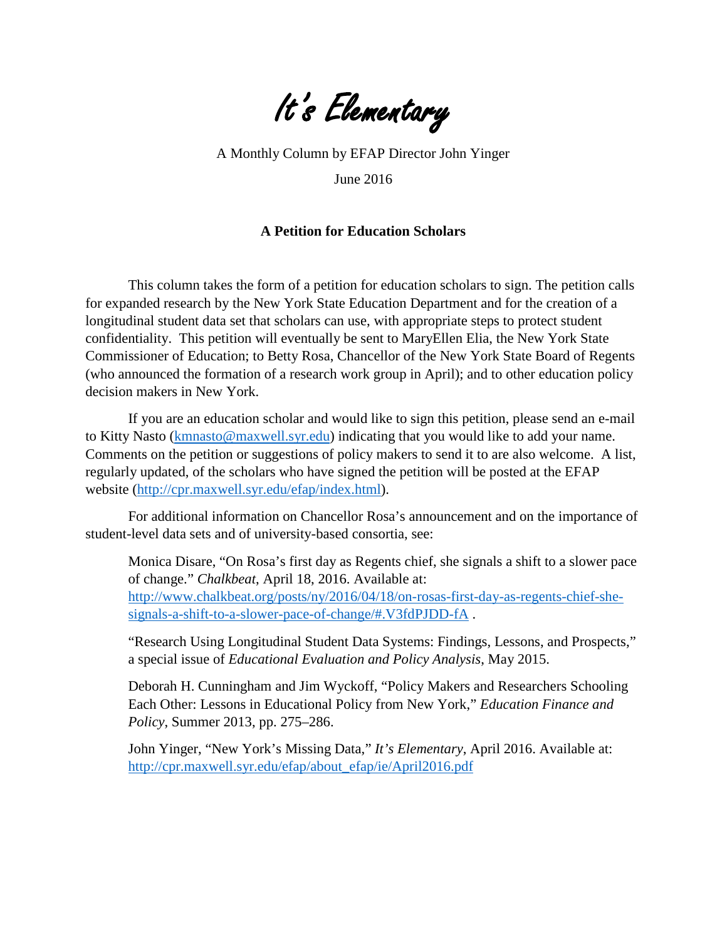

A Monthly Column by EFAP Director John Yinger

June 2016

### **A Petition for Education Scholars**

This column takes the form of a petition for education scholars to sign. The petition calls for expanded research by the New York State Education Department and for the creation of a longitudinal student data set that scholars can use, with appropriate steps to protect student confidentiality. This petition will eventually be sent to MaryEllen Elia, the New York State Commissioner of Education; to Betty Rosa, Chancellor of the New York State Board of Regents (who announced the formation of a research work group in April); and to other education policy decision makers in New York.

If you are an education scholar and would like to sign this petition, please send an e-mail to Kitty Nasto [\(kmnasto@maxwell.syr.edu\)](mailto:kmnasto@maxwell.syr.edu) indicating that you would like to add your name. Comments on the petition or suggestions of policy makers to send it to are also welcome. A list, regularly updated, of the scholars who have signed the petition will be posted at the EFAP website [\(http://cpr.maxwell.syr.edu/efap/index.html\)](http://cpr.maxwell.syr.edu/efap/index.html).

For additional information on Chancellor Rosa's announcement and on the importance of student-level data sets and of university-based consortia, see:

Monica Disare, "On Rosa's first day as Regents chief, she signals a shift to a slower pace of change." *Chalkbeat*, April 18, 2016. Available at: [http://www.chalkbeat.org/posts/ny/2016/04/18/on-rosas-first-day-as-regents-chief-she](http://www.chalkbeat.org/posts/ny/2016/04/18/on-rosas-first-day-as-regents-chief-she-signals-a-shift-to-a-slower-pace-of-change/#.V3fdPJDD-fA)[signals-a-shift-to-a-slower-pace-of-change/#.V3fdPJDD-fA](http://www.chalkbeat.org/posts/ny/2016/04/18/on-rosas-first-day-as-regents-chief-she-signals-a-shift-to-a-slower-pace-of-change/#.V3fdPJDD-fA) .

"Research Using Longitudinal Student Data Systems: Findings, Lessons, and Prospects," a special issue of *Educational Evaluation and Policy Analysis*, May 2015.

Deborah H. Cunningham and Jim Wyckoff, "Policy Makers and Researchers Schooling Each Other: Lessons in Educational Policy from New York," *Education Finance and Policy*, Summer 2013, pp. 275–286.

John Yinger, "New York's Missing Data," *It's Elementary*, April 2016. Available at: [http://cpr.maxwell.syr.edu/efap/about\\_efap/ie/April2016.pdf](http://cpr.maxwell.syr.edu/efap/about_efap/ie/April2016.pdf)